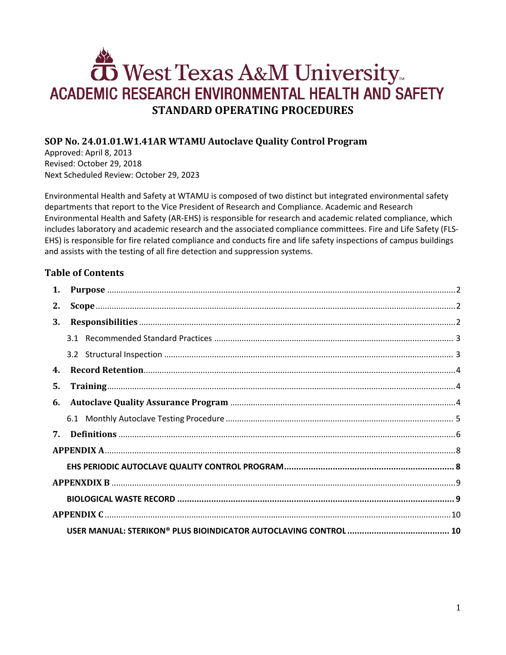# West Texas A&M University ACADEMIC RESEARCH ENVIRONMENTAL HEALTH AND SAFETY **STANDARD OPERATING PROCEDURES**

## **SOP No. 24.01.01.W1.41AR WTAMU Autoclave Quality Control Program**

Approved: April 8, 2013 Revised: October 29, 2018 Next Scheduled Review: October 29, 2023

Environmental Health and Safety at WTAMU is composed of two distinct but integrated environmental safety departments that report to the Vice President of Research and Compliance. Academic and Research Environmental Health and Safety (AR-EHS) is responsible for research and academic related compliance, which includes laboratory and academic research and the associated compliance committees. Fire and Life Safety (FLS-EHS) is responsible for fire related compliance and conducts fire and life safety inspections of campus buildings and assists with the testing of all fire detection and suppression systems.

## **Table of Contents**

| 1. |  |  |  |  |  |  |
|----|--|--|--|--|--|--|
| 2. |  |  |  |  |  |  |
| 3. |  |  |  |  |  |  |
|    |  |  |  |  |  |  |
|    |  |  |  |  |  |  |
| 4. |  |  |  |  |  |  |
| 5. |  |  |  |  |  |  |
| 6. |  |  |  |  |  |  |
|    |  |  |  |  |  |  |
| 7. |  |  |  |  |  |  |
|    |  |  |  |  |  |  |
|    |  |  |  |  |  |  |
|    |  |  |  |  |  |  |
|    |  |  |  |  |  |  |
|    |  |  |  |  |  |  |
|    |  |  |  |  |  |  |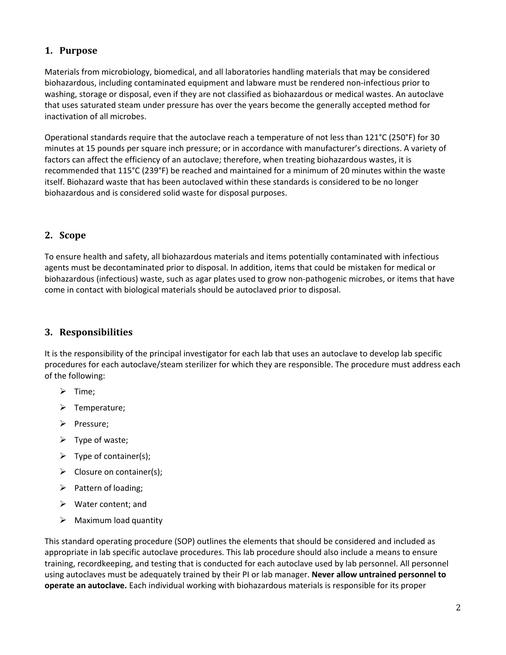## <span id="page-1-0"></span>**1. Purpose**

Materials from microbiology, biomedical, and all laboratories handling materials that may be considered biohazardous, including contaminated equipment and labware must be rendered non-infectious prior to washing, storage or disposal, even if they are not classified as biohazardous or medical wastes. An autoclave that uses saturated steam under pressure has over the years become the generally accepted method for inactivation of all microbes.

Operational standards require that the autoclave reach a temperature of not less than 121°C (250°F) for 30 minutes at 15 pounds per square inch pressure; or in accordance with manufacturer's directions. A variety of factors can affect the efficiency of an autoclave; therefore, when treating biohazardous wastes, it is recommended that 115°C (239°F) be reached and maintained for a minimum of 20 minutes within the waste itself. Biohazard waste that has been autoclaved within these standards is considered to be no longer biohazardous and is considered solid waste for disposal purposes.

## <span id="page-1-1"></span>**2. Scope**

To ensure health and safety, all biohazardous materials and items potentially contaminated with infectious agents must be decontaminated prior to disposal. In addition, items that could be mistaken for medical or biohazardous (infectious) waste, such as agar plates used to grow non-pathogenic microbes, or items that have come in contact with biological materials should be autoclaved prior to disposal.

## <span id="page-1-2"></span>**3. Responsibilities**

It is the responsibility of the principal investigator for each lab that uses an autoclave to develop lab specific procedures for each autoclave/steam sterilizer for which they are responsible. The procedure must address each of the following:

- $\triangleright$  Time;
- $\triangleright$  Temperature;
- $\triangleright$  Pressure;
- $\triangleright$  Type of waste;
- $\triangleright$  Type of container(s);
- $\triangleright$  Closure on container(s);
- $\triangleright$  Pattern of loading;
- $\triangleright$  Water content; and
- $\triangleright$  Maximum load quantity

This standard operating procedure (SOP) outlines the elements that should be considered and included as appropriate in lab specific autoclave procedures. This lab procedure should also include a means to ensure training, recordkeeping, and testing that is conducted for each autoclave used by lab personnel. All personnel using autoclaves must be adequately trained by their PI or lab manager. **Never allow untrained personnel to operate an autoclave.** Each individual working with biohazardous materials is responsible for its proper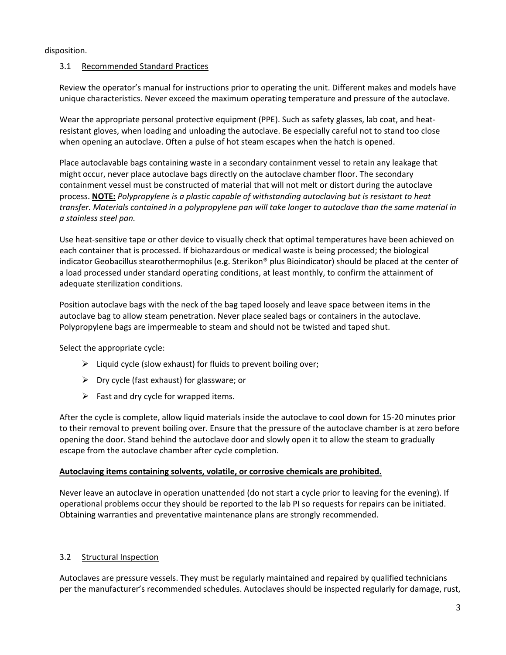<span id="page-2-0"></span>disposition.

#### 3.1 Recommended Standard Practices

Review the operator's manual for instructions prior to operating the unit. Different makes and models have unique characteristics. Never exceed the maximum operating temperature and pressure of the autoclave.

Wear the appropriate personal protective equipment (PPE). Such as safety glasses, lab coat, and heatresistant gloves, when loading and unloading the autoclave. Be especially careful not to stand too close when opening an autoclave. Often a pulse of hot steam escapes when the hatch is opened.

Place autoclavable bags containing waste in a secondary containment vessel to retain any leakage that might occur, never place autoclave bags directly on the autoclave chamber floor. The secondary containment vessel must be constructed of material that will not melt or distort during the autoclave process. **NOTE:** *Polypropylene is a plastic capable of withstanding autoclaving but is resistant to heat transfer. Materials contained in a polypropylene pan will take longer to autoclave than the same material in a stainless steel pan.*

Use heat-sensitive tape or other device to visually check that optimal temperatures have been achieved on each container that is processed. If biohazardous or medical waste is being processed; the biological indicator Geobacillus stearothermophilus (e.g. Sterikon® plus Bioindicator) should be placed at the center of a load processed under standard operating conditions, at least monthly, to confirm the attainment of adequate sterilization conditions.

Position autoclave bags with the neck of the bag taped loosely and leave space between items in the autoclave bag to allow steam penetration. Never place sealed bags or containers in the autoclave. Polypropylene bags are impermeable to steam and should not be twisted and taped shut.

Select the appropriate cycle:

- $\triangleright$  Liquid cycle (slow exhaust) for fluids to prevent boiling over;
- $\triangleright$  Dry cycle (fast exhaust) for glassware; or
- $\triangleright$  Fast and dry cycle for wrapped items.

After the cycle is complete, allow liquid materials inside the autoclave to cool down for 15-20 minutes prior to their removal to prevent boiling over. Ensure that the pressure of the autoclave chamber is at zero before opening the door. Stand behind the autoclave door and slowly open it to allow the steam to gradually escape from the autoclave chamber after cycle completion.

#### **Autoclaving items containing solvents, volatile, or corrosive chemicals are prohibited.**

Never leave an autoclave in operation unattended (do not start a cycle prior to leaving for the evening). If operational problems occur they should be reported to the lab PI so requests for repairs can be initiated. Obtaining warranties and preventative maintenance plans are strongly recommended.

### <span id="page-2-1"></span>3.2 Structural Inspection

Autoclaves are pressure vessels. They must be regularly maintained and repaired by qualified technicians per the manufacturer's recommended schedules. Autoclaves should be inspected regularly for damage, rust,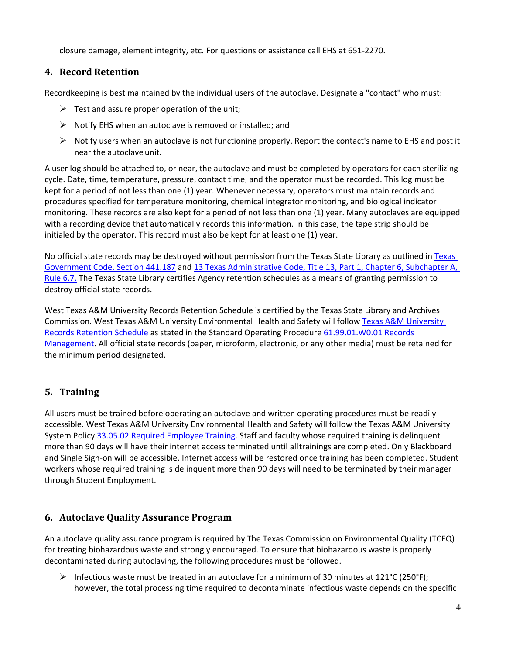closure damage, element integrity, etc. For questions or assistance call EHS at 651-2270.

## <span id="page-3-0"></span>**4. Record Retention**

Recordkeeping is best maintained by the individual users of the autoclave. Designate a "contact" who must:

- $\triangleright$  Test and assure proper operation of the unit;
- $\triangleright$  Notify EHS when an autoclave is removed or installed; and
- $\triangleright$  Notify users when an autoclave is not functioning properly. Report the contact's name to EHS and post it near the autoclave unit.

A user log should be attached to, or near, the autoclave and must be completed by operators for each sterilizing cycle. Date, time, temperature, pressure, contact time, and the operator must be recorded. This log must be kept for a period of not less than one (1) year. Whenever necessary, operators must maintain records and procedures specified for temperature monitoring, chemical integrator monitoring, and biological indicator monitoring. These records are also kept for a period of not less than one (1) year. Many autoclaves are equipped with a recording device that automatically records this information. In this case, the tape strip should be initialed by the operator. This record must also be kept for at least one (1) year.

No official state records may be destroyed without permission from the Texas State Library as outlined in [Texas](http://www.statutes.legis.state.tx.us/?link=GV)  [Government Code, Section 441.187](http://www.statutes.legis.state.tx.us/?link=GV) an[d 13 Texas Administrative Code, Title 13, Part 1, Chapter 6,](http://txrules.elaws.us/rule/title13_chapter6_sec.6.7) Subchapter A, [Rule 6.7.](http://txrules.elaws.us/rule/title13_chapter6_sec.6.7) The Texas State Library certifies Agency retention schedules as a means of granting permission to destroy official state records.

West Texas A&M University Records Retention Schedule is certified by the Texas State Library and Archives Commission. West [Texas A&M](https://www.wtamu.edu/webres/File/Risk%20Management/System-Records-Retention-Schedule.pdf) University Environmental Health and Safety will follow Texas A&M University [Records Retention Schedule](https://www.wtamu.edu/webres/File/Risk%20Management/System-Records-Retention-Schedule.pdf) as stated in the Standard Operating Procedure [61.99.01.W0.01 Records](http://www.wtamu.edu/webres/File/Risk%20Management/61.99.01.W0.01_PROCEDURE_Records%20Management_FINAL%20SIGNED.pdf)  [Management.](http://www.wtamu.edu/webres/File/Risk%20Management/61.99.01.W0.01_PROCEDURE_Records%20Management_FINAL%20SIGNED.pdf) All official state records (paper, microform, electronic, or any other media) must be retained for the minimum period designated.

## <span id="page-3-1"></span>**5. Training**

All users must be trained before operating an autoclave and written operating procedures must be readily accessible. West Texas A&M University Environmental Health and Safety will follow the Texas A&M University System Policy [33.05.02 Required Employee Training.](http://policies.tamus.edu/33-05-02.pdf) Staff and faculty whose required training is delinquent more than 90 days will have their internet access terminated until alltrainings are completed. Only Blackboard and Single Sign-on will be accessible. Internet access will be restored once training has been completed. Student workers whose required training is delinquent more than 90 days will need to be terminated by their manager through Student Employment.

## <span id="page-3-2"></span>**6. Autoclave Quality Assurance Program**

An autoclave quality assurance program is required by The Texas Commission on Environmental Quality (TCEQ) for treating biohazardous waste and strongly encouraged. To ensure that biohazardous waste is properly decontaminated during autoclaving, the following procedures must be followed.

 $\triangleright$  Infectious waste must be treated in an autoclave for a minimum of 30 minutes at 121°C (250°F); however, the total processing time required to decontaminate infectious waste depends on the specific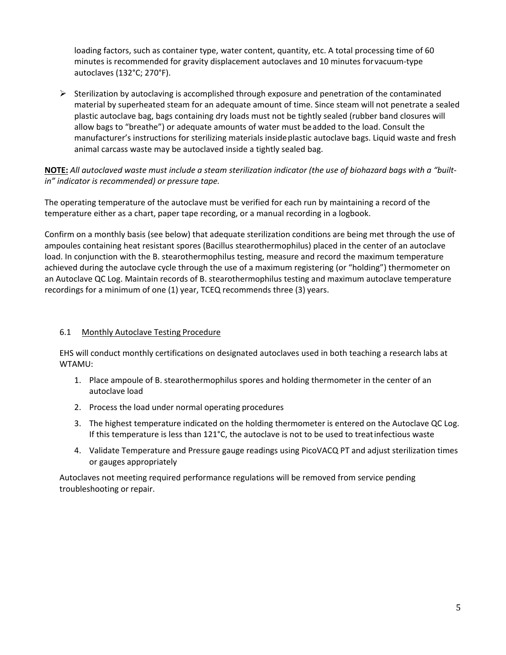loading factors, such as container type, water content, quantity, etc. A total processing time of 60 minutes is recommended for gravity displacement autoclaves and 10 minutes forvacuum-type autoclaves (132°C; 270°F).

 $\triangleright$  Sterilization by autoclaving is accomplished through exposure and penetration of the contaminated material by superheated steam for an adequate amount of time. Since steam will not penetrate a sealed plastic autoclave bag, bags containing dry loads must not be tightly sealed (rubber band closures will allow bags to "breathe") or adequate amounts of water must beadded to the load. Consult the manufacturer's instructions for sterilizing materials insideplastic autoclave bags. Liquid waste and fresh animal carcass waste may be autoclaved inside a tightly sealed bag.

## **NOTE:** *All autoclaved waste must include a steam sterilization indicator (the use of biohazard bags with a "builtin" indicator is recommended) or pressure tape.*

The operating temperature of the autoclave must be verified for each run by maintaining a record of the temperature either as a chart, paper tape recording, or a manual recording in a logbook.

Confirm on a monthly basis (see below) that adequate sterilization conditions are being met through the use of ampoules containing heat resistant spores (Bacillus stearothermophilus) placed in the center of an autoclave load. In conjunction with the B. stearothermophilus testing, measure and record the maximum temperature achieved during the autoclave cycle through the use of a maximum registering (or "holding") thermometer on an Autoclave QC Log. Maintain records of B. stearothermophilus testing and maximum autoclave temperature recordings for a minimum of one (1) year, TCEQ recommends three (3) years.

## <span id="page-4-0"></span>6.1 Monthly Autoclave Testing Procedure

EHS will conduct monthly certifications on designated autoclaves used in both teaching a research labs at WTAMU:

- 1. Place ampoule of B. stearothermophilus spores and holding thermometer in the center of an autoclave load
- 2. Process the load under normal operating procedures
- 3. The highest temperature indicated on the holding thermometer is entered on the Autoclave QC Log. If this temperature is less than 121°C, the autoclave is not to be used to treatinfectious waste
- 4. Validate Temperature and Pressure gauge readings using PicoVACQ PT and adjust sterilization times or gauges appropriately

Autoclaves not meeting required performance regulations will be removed from service pending troubleshooting or repair.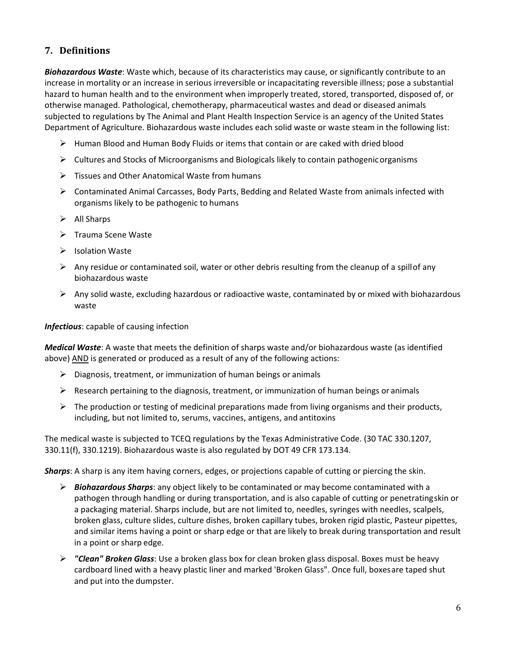## <span id="page-5-0"></span>**7. Definitions**

*Biohazardous Waste*: Waste which, because of its characteristics may cause, or significantly contribute to an increase in mortality or an increase in serious irreversible or incapacitating reversible illness; pose a substantial hazard to human health and to the environment when improperly treated, stored, transported, disposed of, or otherwise managed. Pathological, chemotherapy, pharmaceutical wastes and dead or diseased animals subjected to regulations by The Animal and Plant Health Inspection Service is an agency of the United States Department of Agriculture. Biohazardous waste includes each solid waste or waste steam in the following list:

- $\triangleright$  Human Blood and Human Body Fluids or items that contain or are caked with dried blood
- $\triangleright$  Cultures and Stocks of Microorganisms and Biologicals likely to contain pathogenic organisms
- $\triangleright$  Tissues and Other Anatomical Waste from humans
- $\triangleright$  Contaminated Animal Carcasses, Body Parts, Bedding and Related Waste from animals infected with organisms likely to be pathogenic to humans
- $\triangleright$  All Sharps
- $\triangleright$  Trauma Scene Waste
- $\triangleright$  Isolation Waste
- Any residue or contaminated soil, water or other debris resulting from the cleanup of a spillof any biohazardous waste
- $\triangleright$  Any solid waste, excluding hazardous or radioactive waste, contaminated by or mixed with biohazardous waste

*Infectious*: capable of causing infection

*Medical Waste*: A waste that meets the definition of sharps waste and/or biohazardous waste (as identified above) AND is generated or produced as a result of any of the following actions:

- $\triangleright$  Diagnosis, treatment, or immunization of human beings or animals
- $\triangleright$  Research pertaining to the diagnosis, treatment, or immunization of human beings or animals
- $\triangleright$  The production or testing of medicinal preparations made from living organisms and their products, including, but not limited to, serums, vaccines, antigens, and antitoxins

The medical waste is subjected to TCEQ regulations by the Texas Administrative Code. (30 TAC 330.1207, 330.11(f), 330.1219). Biohazardous waste is also regulated by DOT 49 CFR 173.134.

*Sharps*: A sharp is any item having corners, edges, or projections capable of cutting or piercing the skin.

- *Biohazardous Sharps*: any object likely to be contaminated or may become contaminated with a pathogen through handling or during transportation, and is also capable of cutting or penetratingskin or a packaging material. Sharps include, but are not limited to, needles, syringes with needles, scalpels, broken glass, culture slides, culture dishes, broken capillary tubes, broken rigid plastic, Pasteur pipettes, and similar items having a point or sharp edge or that are likely to break during transportation and result in a point or sharp edge.
- *"Clean" Broken Glass*: Use a broken glass box for clean broken glass disposal. Boxes must be heavy cardboard lined with a heavy plastic liner and marked 'Broken Glass". Once full, boxesare taped shut and put into the dumpster.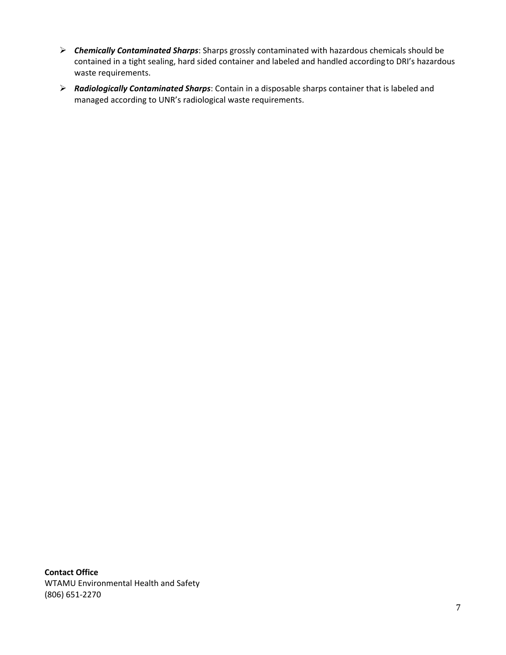- *Chemically Contaminated Sharps*: Sharps grossly contaminated with hazardous chemicals should be contained in a tight sealing, hard sided container and labeled and handled accordingto DRI's hazardous waste requirements.
- *Radiologically Contaminated Sharps*: Contain in a disposable sharps container that is labeled and managed according to UNR's radiological waste requirements.

**Contact Office** WTAMU Environmental Health and Safety (806) 651-2270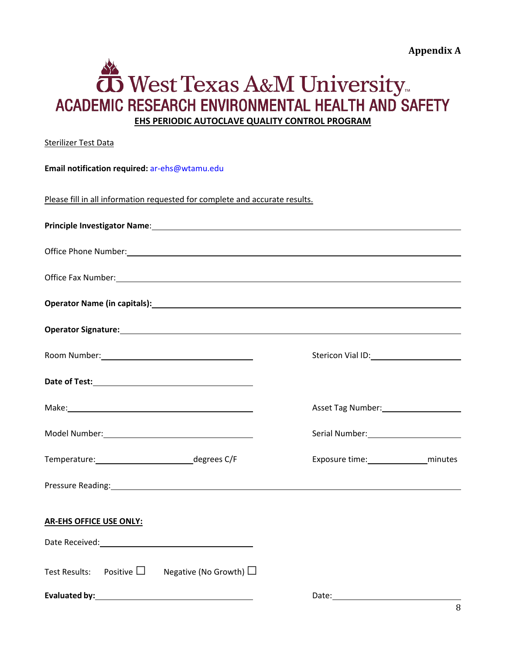**Appendix A**

# <span id="page-7-0"></span>West Texas A&M University<br>FMIC RESEARCH ENVIRONMENTAL HEALTH AND SA ACADEMIC RESEARCH ENVIRONMENTAL HEALTH AND SAFETY **EHS PERIODIC AUTOCLAVE QUALITY CONTROL PROGRAM**

<span id="page-7-1"></span>Sterilizer Test Data

| Email notification required: ar-ehs@wtamu.edu                                                                                                                                                                                  |                                                |  |  |  |  |  |  |  |
|--------------------------------------------------------------------------------------------------------------------------------------------------------------------------------------------------------------------------------|------------------------------------------------|--|--|--|--|--|--|--|
| Please fill in all information requested for complete and accurate results.                                                                                                                                                    |                                                |  |  |  |  |  |  |  |
| Principle Investigator Name: Manual Annual Annual Annual Annual Annual Annual Annual Annual Annual Annual Annu                                                                                                                 |                                                |  |  |  |  |  |  |  |
|                                                                                                                                                                                                                                |                                                |  |  |  |  |  |  |  |
|                                                                                                                                                                                                                                |                                                |  |  |  |  |  |  |  |
| Operator Name (in capitals): Note that the set of the set of the set of the set of the set of the set of the set of the set of the set of the set of the set of the set of the set of the set of the set of the set of the set |                                                |  |  |  |  |  |  |  |
|                                                                                                                                                                                                                                |                                                |  |  |  |  |  |  |  |
|                                                                                                                                                                                                                                | Stericon Vial ID: Stericon Vial ID:            |  |  |  |  |  |  |  |
|                                                                                                                                                                                                                                |                                                |  |  |  |  |  |  |  |
|                                                                                                                                                                                                                                | Asset Tag Number:<br><u> asset Tag Number:</u> |  |  |  |  |  |  |  |
|                                                                                                                                                                                                                                | Serial Number: 1988                            |  |  |  |  |  |  |  |
|                                                                                                                                                                                                                                | Exposure time: ________________________minutes |  |  |  |  |  |  |  |
| Pressure Reading: The Contract of the Contract of the Contract of the Contract of the Contract of the Contract of the Contract of the Contract of the Contract of the Contract of the Contract of the Contract of the Contract |                                                |  |  |  |  |  |  |  |
| AR-EHS OFFICE USE ONLY:                                                                                                                                                                                                        |                                                |  |  |  |  |  |  |  |
| Date Received: National Contract of the Contract of the Contract of the Contract of the Contract of the Contract of the Contract of the Contract of the Contract of the Contract of the Contract of the Contract of the Contra |                                                |  |  |  |  |  |  |  |
| Positive $\Box$<br>Negative (No Growth) $\Box$<br><b>Test Results:</b>                                                                                                                                                         |                                                |  |  |  |  |  |  |  |
| Evaluated by:                                                                                                                                                                                                                  | Date:                                          |  |  |  |  |  |  |  |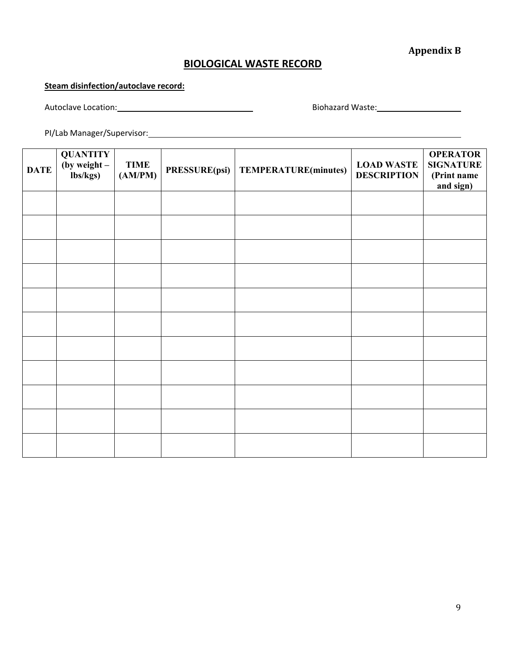**Appendix B**

## **BIOLOGICAL WASTE RECORD**

## <span id="page-8-1"></span><span id="page-8-0"></span>**Steam disinfection/autoclave record:**

Autoclave Location: 1980 1990 1990 1990 1991 1991 1991 1992 1994 1994 1996 1997 1998 1998 1999 1998 1999 1999 1

PI/Lab Manager/Supervisor:

| <b>DATE</b> | <b>QUANTITY</b><br>(by weight $-$<br>lbs/kgs) | <b>TIME</b><br>(AM/PM) | <b>PRESSURE(psi)</b> | <b>TEMPERATURE(minutes)</b> | <b>LOAD WASTE</b><br><b>DESCRIPTION</b> | <b>OPERATOR</b><br><b>SIGNATURE</b><br>(Print name<br>and sign) |
|-------------|-----------------------------------------------|------------------------|----------------------|-----------------------------|-----------------------------------------|-----------------------------------------------------------------|
|             |                                               |                        |                      |                             |                                         |                                                                 |
|             |                                               |                        |                      |                             |                                         |                                                                 |
|             |                                               |                        |                      |                             |                                         |                                                                 |
|             |                                               |                        |                      |                             |                                         |                                                                 |
|             |                                               |                        |                      |                             |                                         |                                                                 |
|             |                                               |                        |                      |                             |                                         |                                                                 |
|             |                                               |                        |                      |                             |                                         |                                                                 |
|             |                                               |                        |                      |                             |                                         |                                                                 |
|             |                                               |                        |                      |                             |                                         |                                                                 |
|             |                                               |                        |                      |                             |                                         |                                                                 |
|             |                                               |                        |                      |                             |                                         |                                                                 |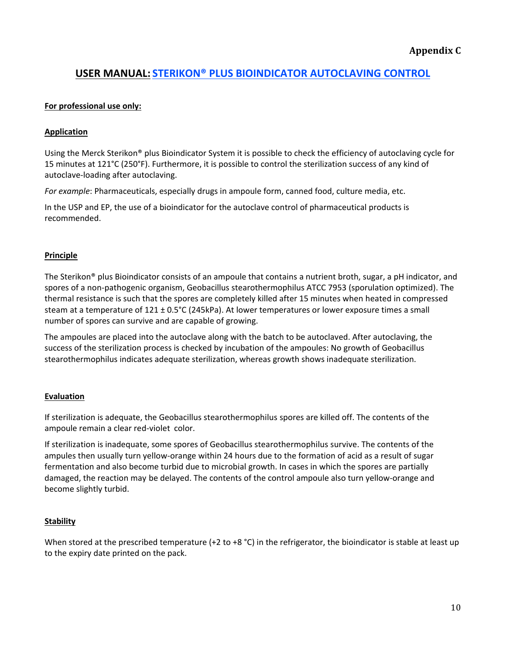# <span id="page-9-1"></span><span id="page-9-0"></span>**USER MANUAL: STERIKON® PLUS BIOINDICATOR AUTOCLAVING CONTROL**

#### **For professional use only:**

#### **Application**

Using the Merck Sterikon® plus Bioindicator System it is possible to check the efficiency of autoclaving cycle for 15 minutes at 121°C (250°F). Furthermore, it is possible to control the sterilization success of any kind of autoclave-loading after autoclaving.

*For example*: Pharmaceuticals, especially drugs in ampoule form, canned food, culture media, etc.

In the USP and EP, the use of a bioindicator for the autoclave control of pharmaceutical products is recommended.

#### **Principle**

The Sterikon® plus Bioindicator consists of an ampoule that contains a nutrient broth, sugar, a pH indicator, and spores of a non-pathogenic organism, Geobacillus stearothermophilus ATCC 7953 (sporulation optimized). The thermal resistance is such that the spores are completely killed after 15 minutes when heated in compressed steam at a temperature of 121 ± 0.5°C (245kPa). At lower temperatures or lower exposure times a small number of spores can survive and are capable of growing.

The ampoules are placed into the autoclave along with the batch to be autoclaved. After autoclaving, the success of the sterilization process is checked by incubation of the ampoules: No growth of Geobacillus stearothermophilus indicates adequate sterilization, whereas growth shows inadequate sterilization.

### **Evaluation**

If sterilization is adequate, the Geobacillus stearothermophilus spores are killed off. The contents of the ampoule remain a clear red-violet color.

If sterilization is inadequate, some spores of Geobacillus stearothermophilus survive. The contents of the ampules then usually turn yellow-orange within 24 hours due to the formation of acid as a result of sugar fermentation and also become turbid due to microbial growth. In cases in which the spores are partially damaged, the reaction may be delayed. The contents of the control ampoule also turn yellow-orange and become slightly turbid.

#### **Stability**

When stored at the prescribed temperature (+2 to +8 °C) in the refrigerator, the bioindicator is stable at least up to the expiry date printed on the pack.